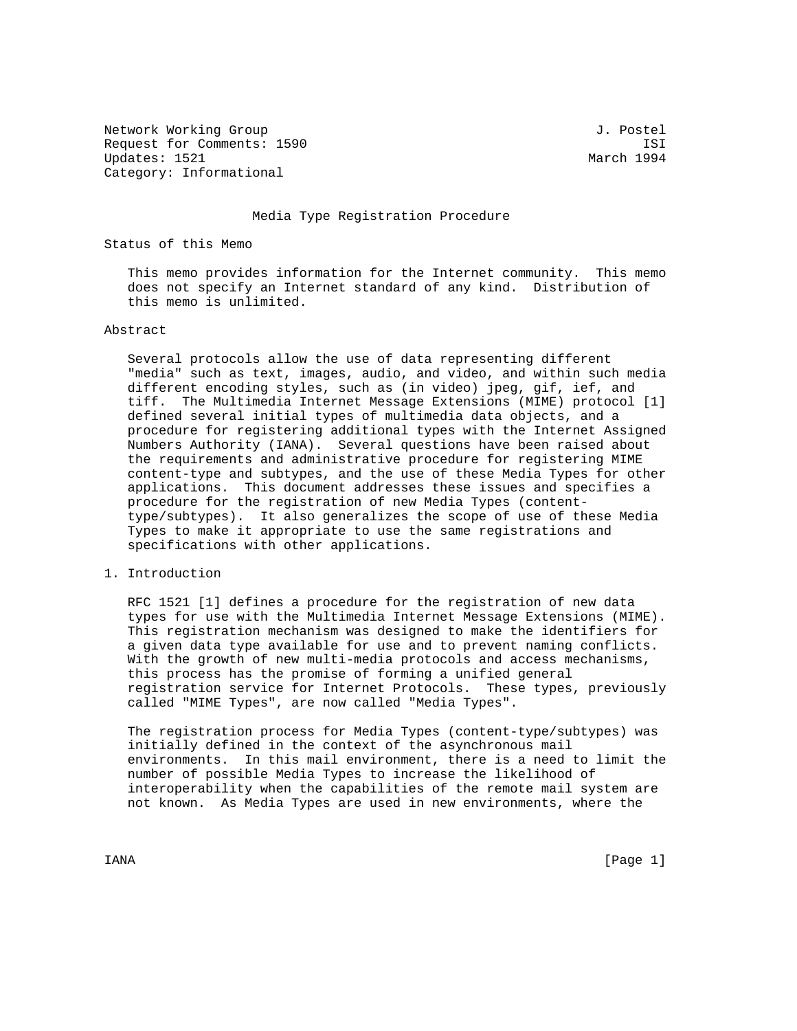Network Working Group 3. 2008 3. Postel Request for Comments: 1590 ISI Updates: 1521 March 1994 Category: Informational

### Media Type Registration Procedure

Status of this Memo

 This memo provides information for the Internet community. This memo does not specify an Internet standard of any kind. Distribution of this memo is unlimited.

## Abstract

 Several protocols allow the use of data representing different "media" such as text, images, audio, and video, and within such media different encoding styles, such as (in video) jpeg, gif, ief, and tiff. The Multimedia Internet Message Extensions (MIME) protocol [1] defined several initial types of multimedia data objects, and a procedure for registering additional types with the Internet Assigned Numbers Authority (IANA). Several questions have been raised about the requirements and administrative procedure for registering MIME content-type and subtypes, and the use of these Media Types for other applications. This document addresses these issues and specifies a procedure for the registration of new Media Types (content type/subtypes). It also generalizes the scope of use of these Media Types to make it appropriate to use the same registrations and specifications with other applications.

### 1. Introduction

 RFC 1521 [1] defines a procedure for the registration of new data types for use with the Multimedia Internet Message Extensions (MIME). This registration mechanism was designed to make the identifiers for a given data type available for use and to prevent naming conflicts. With the growth of new multi-media protocols and access mechanisms, this process has the promise of forming a unified general registration service for Internet Protocols. These types, previously called "MIME Types", are now called "Media Types".

 The registration process for Media Types (content-type/subtypes) was initially defined in the context of the asynchronous mail environments. In this mail environment, there is a need to limit the number of possible Media Types to increase the likelihood of interoperability when the capabilities of the remote mail system are not known. As Media Types are used in new environments, where the

IANA [Page 1]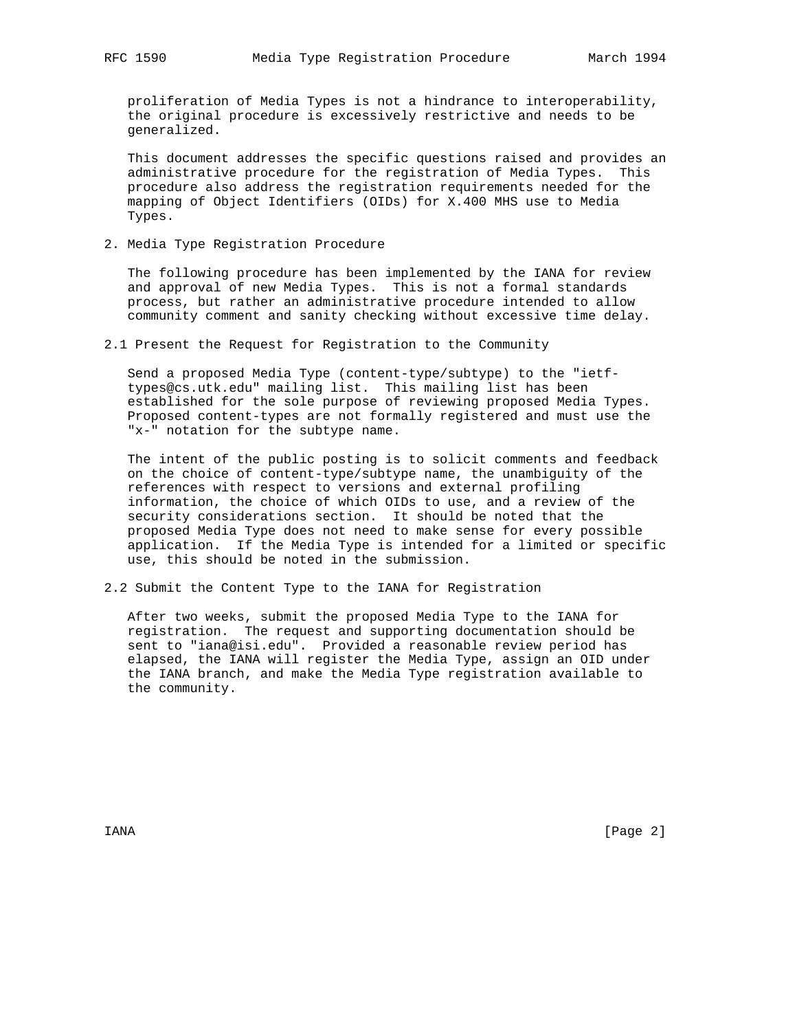proliferation of Media Types is not a hindrance to interoperability, the original procedure is excessively restrictive and needs to be generalized.

 This document addresses the specific questions raised and provides an administrative procedure for the registration of Media Types. This procedure also address the registration requirements needed for the mapping of Object Identifiers (OIDs) for X.400 MHS use to Media Types.

2. Media Type Registration Procedure

 The following procedure has been implemented by the IANA for review and approval of new Media Types. This is not a formal standards process, but rather an administrative procedure intended to allow community comment and sanity checking without excessive time delay.

2.1 Present the Request for Registration to the Community

 Send a proposed Media Type (content-type/subtype) to the "ietf types@cs.utk.edu" mailing list. This mailing list has been established for the sole purpose of reviewing proposed Media Types. Proposed content-types are not formally registered and must use the "x-" notation for the subtype name.

 The intent of the public posting is to solicit comments and feedback on the choice of content-type/subtype name, the unambiguity of the references with respect to versions and external profiling information, the choice of which OIDs to use, and a review of the security considerations section. It should be noted that the proposed Media Type does not need to make sense for every possible application. If the Media Type is intended for a limited or specific use, this should be noted in the submission.

2.2 Submit the Content Type to the IANA for Registration

 After two weeks, submit the proposed Media Type to the IANA for registration. The request and supporting documentation should be sent to "iana@isi.edu". Provided a reasonable review period has elapsed, the IANA will register the Media Type, assign an OID under the IANA branch, and make the Media Type registration available to the community.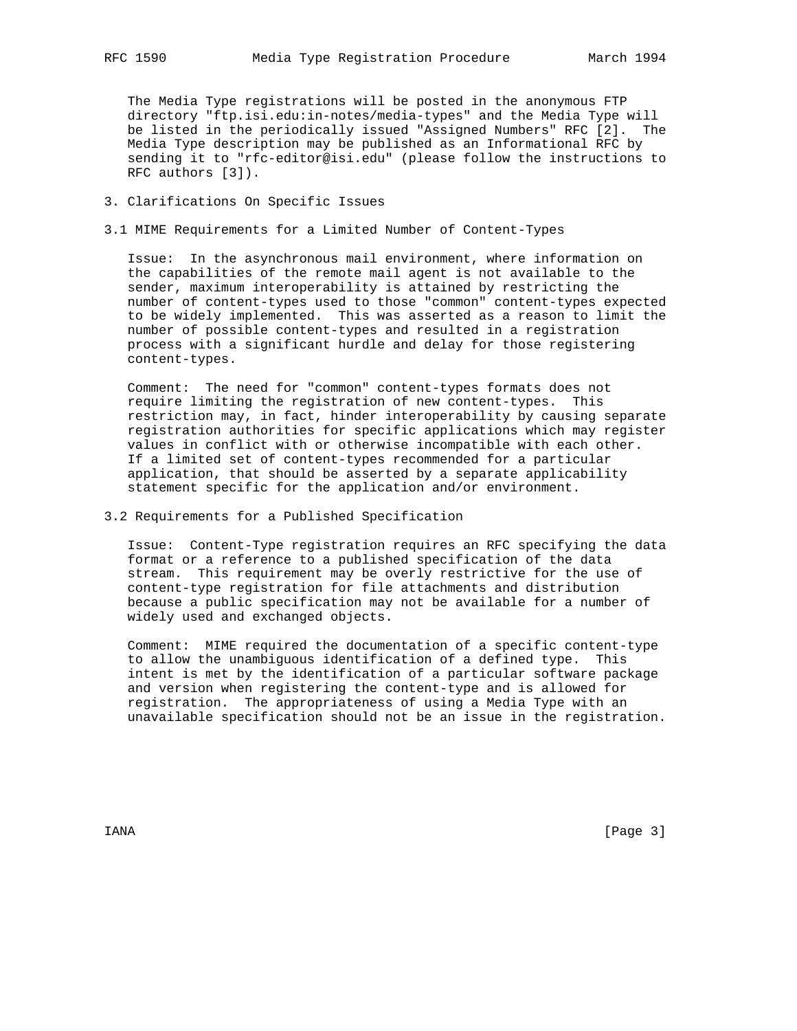The Media Type registrations will be posted in the anonymous FTP directory "ftp.isi.edu:in-notes/media-types" and the Media Type will be listed in the periodically issued "Assigned Numbers" RFC [2]. The Media Type description may be published as an Informational RFC by sending it to "rfc-editor@isi.edu" (please follow the instructions to RFC authors [3]).

## 3. Clarifications On Specific Issues

3.1 MIME Requirements for a Limited Number of Content-Types

 Issue: In the asynchronous mail environment, where information on the capabilities of the remote mail agent is not available to the sender, maximum interoperability is attained by restricting the number of content-types used to those "common" content-types expected to be widely implemented. This was asserted as a reason to limit the number of possible content-types and resulted in a registration process with a significant hurdle and delay for those registering content-types.

 Comment: The need for "common" content-types formats does not require limiting the registration of new content-types. This restriction may, in fact, hinder interoperability by causing separate registration authorities for specific applications which may register values in conflict with or otherwise incompatible with each other. If a limited set of content-types recommended for a particular application, that should be asserted by a separate applicability statement specific for the application and/or environment.

3.2 Requirements for a Published Specification

 Issue: Content-Type registration requires an RFC specifying the data format or a reference to a published specification of the data stream. This requirement may be overly restrictive for the use of content-type registration for file attachments and distribution because a public specification may not be available for a number of widely used and exchanged objects.

 Comment: MIME required the documentation of a specific content-type to allow the unambiguous identification of a defined type. This intent is met by the identification of a particular software package and version when registering the content-type and is allowed for registration. The appropriateness of using a Media Type with an unavailable specification should not be an issue in the registration.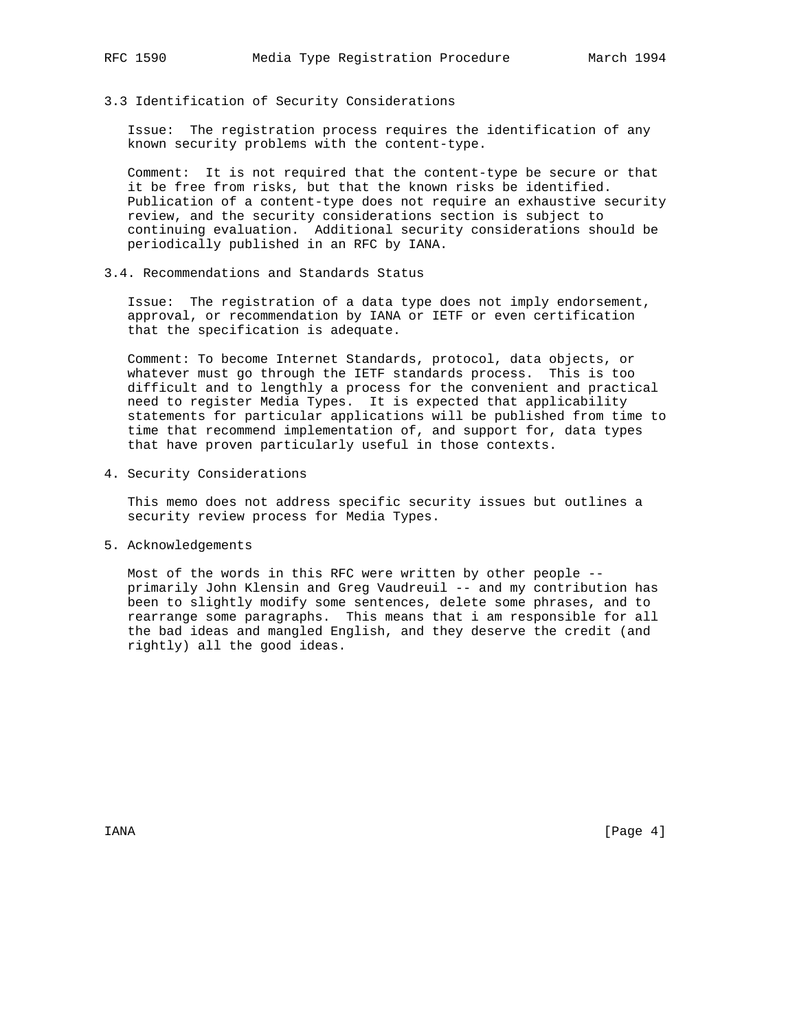## 3.3 Identification of Security Considerations

 Issue: The registration process requires the identification of any known security problems with the content-type.

 Comment: It is not required that the content-type be secure or that it be free from risks, but that the known risks be identified. Publication of a content-type does not require an exhaustive security review, and the security considerations section is subject to continuing evaluation. Additional security considerations should be periodically published in an RFC by IANA.

## 3.4. Recommendations and Standards Status

 Issue: The registration of a data type does not imply endorsement, approval, or recommendation by IANA or IETF or even certification that the specification is adequate.

 Comment: To become Internet Standards, protocol, data objects, or whatever must go through the IETF standards process. This is too difficult and to lengthly a process for the convenient and practical need to register Media Types. It is expected that applicability statements for particular applications will be published from time to time that recommend implementation of, and support for, data types that have proven particularly useful in those contexts.

4. Security Considerations

 This memo does not address specific security issues but outlines a security review process for Media Types.

5. Acknowledgements

 Most of the words in this RFC were written by other people - primarily John Klensin and Greg Vaudreuil -- and my contribution has been to slightly modify some sentences, delete some phrases, and to rearrange some paragraphs. This means that i am responsible for all the bad ideas and mangled English, and they deserve the credit (and rightly) all the good ideas.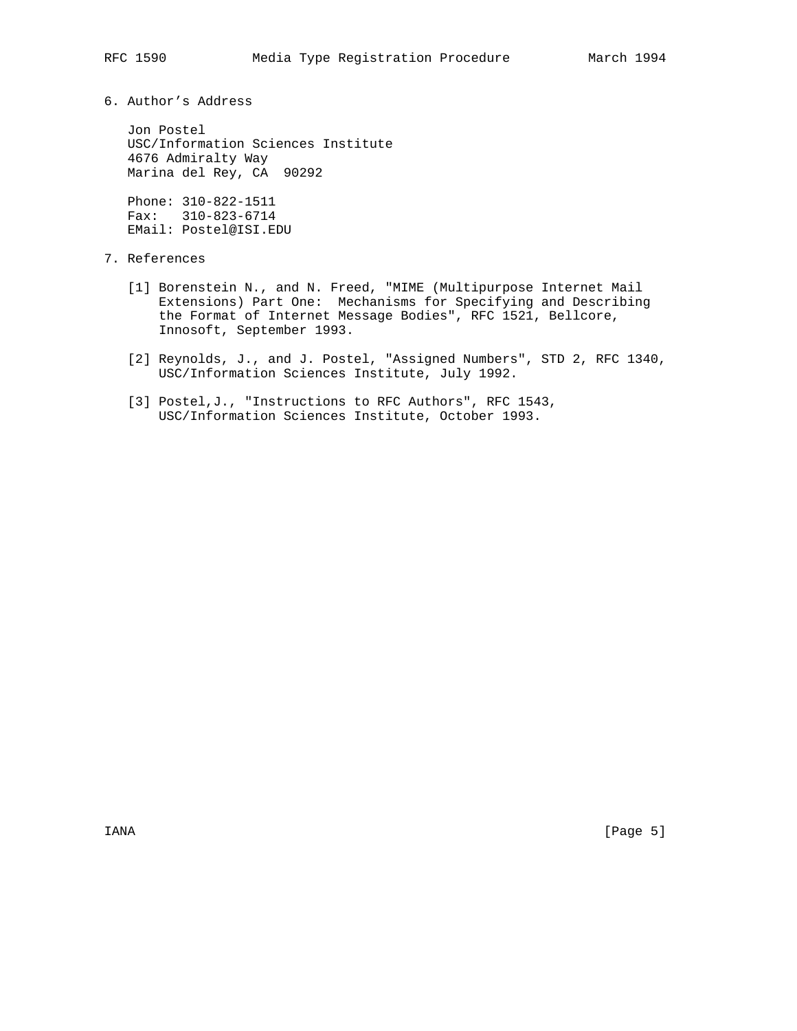6. Author's Address

 Jon Postel USC/Information Sciences Institute 4676 Admiralty Way Marina del Rey, CA 90292

 Phone: 310-822-1511 Fax: 310-823-6714 EMail: Postel@ISI.EDU

# 7. References

- [1] Borenstein N., and N. Freed, "MIME (Multipurpose Internet Mail Extensions) Part One: Mechanisms for Specifying and Describing the Format of Internet Message Bodies", RFC 1521, Bellcore, Innosoft, September 1993.
	- [2] Reynolds, J., and J. Postel, "Assigned Numbers", STD 2, RFC 1340, USC/Information Sciences Institute, July 1992.
	- [3] Postel,J., "Instructions to RFC Authors", RFC 1543, USC/Information Sciences Institute, October 1993.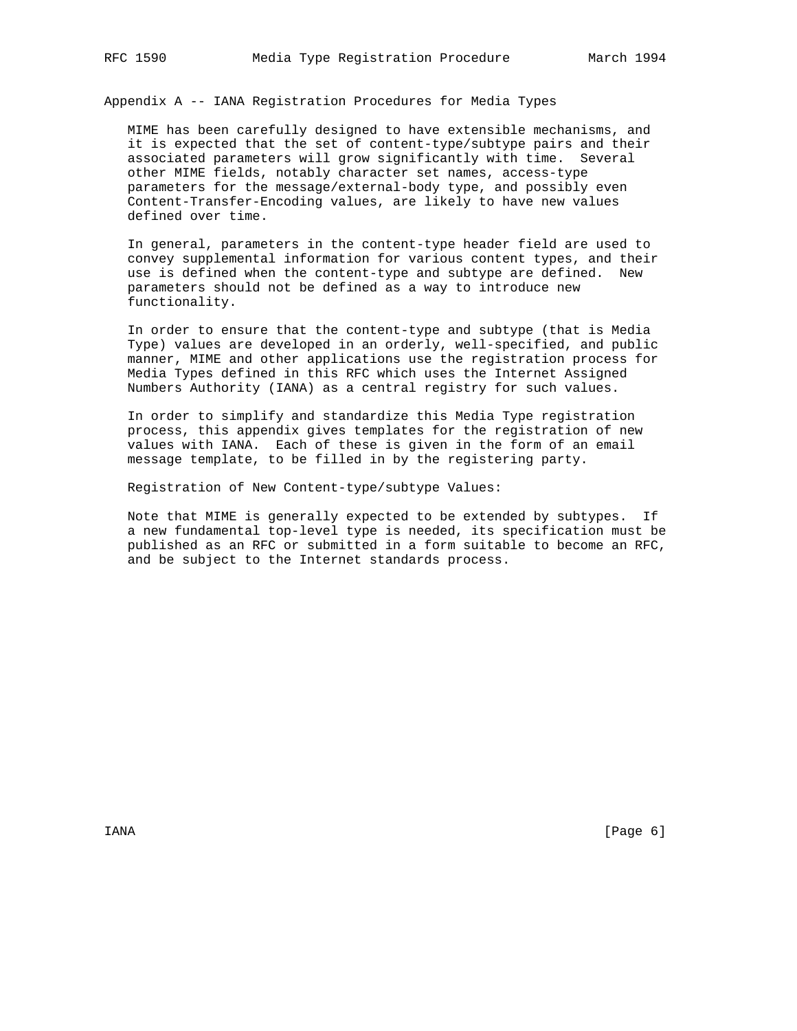Appendix A -- IANA Registration Procedures for Media Types

 MIME has been carefully designed to have extensible mechanisms, and it is expected that the set of content-type/subtype pairs and their associated parameters will grow significantly with time. Several other MIME fields, notably character set names, access-type parameters for the message/external-body type, and possibly even Content-Transfer-Encoding values, are likely to have new values defined over time.

 In general, parameters in the content-type header field are used to convey supplemental information for various content types, and their use is defined when the content-type and subtype are defined. New parameters should not be defined as a way to introduce new functionality.

 In order to ensure that the content-type and subtype (that is Media Type) values are developed in an orderly, well-specified, and public manner, MIME and other applications use the registration process for Media Types defined in this RFC which uses the Internet Assigned Numbers Authority (IANA) as a central registry for such values.

 In order to simplify and standardize this Media Type registration process, this appendix gives templates for the registration of new values with IANA. Each of these is given in the form of an email message template, to be filled in by the registering party.

Registration of New Content-type/subtype Values:

 Note that MIME is generally expected to be extended by subtypes. If a new fundamental top-level type is needed, its specification must be published as an RFC or submitted in a form suitable to become an RFC, and be subject to the Internet standards process.

IANA [Page 6]